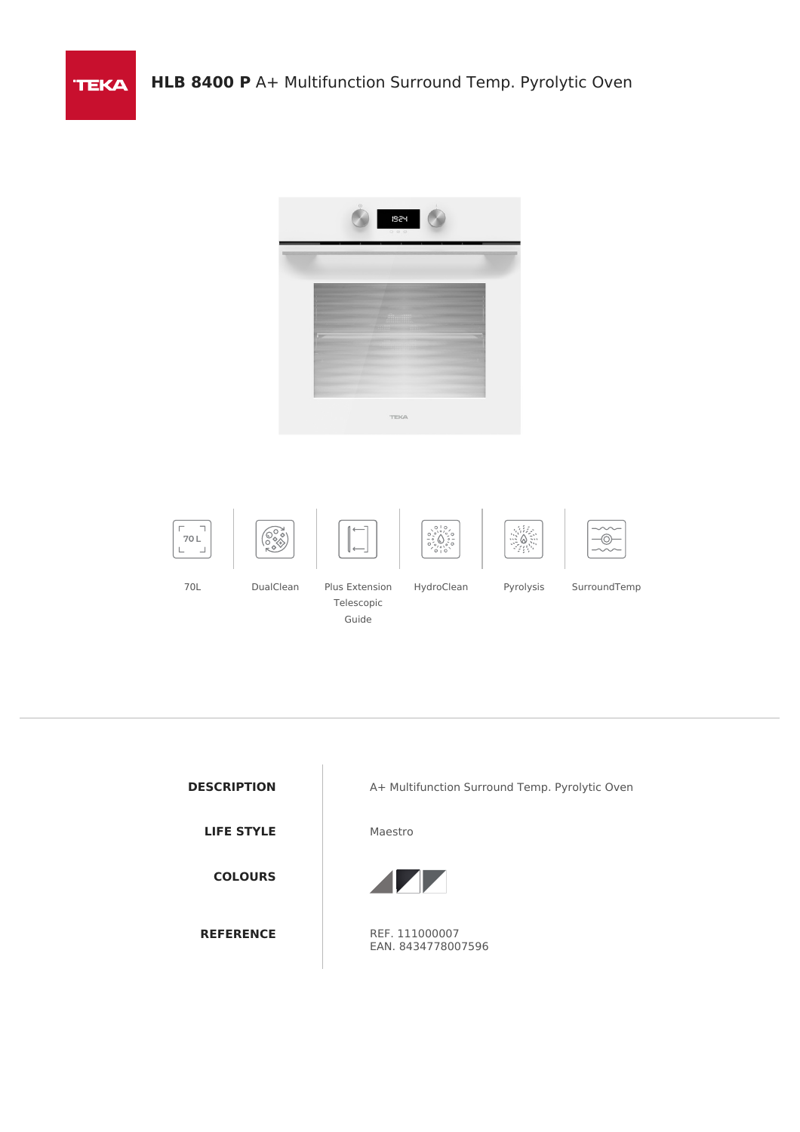**TEKA** 



| <b>DESCRIPTION</b> |
|--------------------|
| <b>LIFE STYLE</b>  |
| <b>COLOURS</b>     |
| <b>REFERENCE</b>   |

A+ Multifunction Surround Temp. Pyrolytic Oven

**Maestro** 



REF. 111000007 EAN. 8434778007596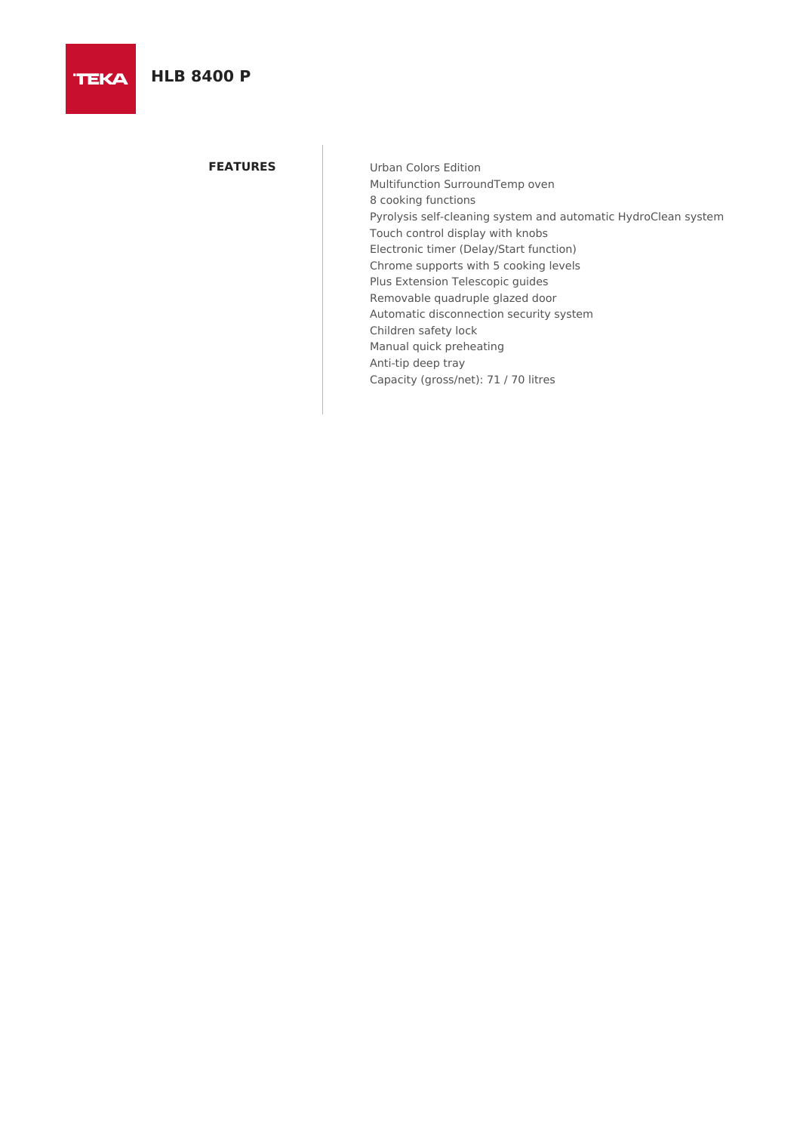# **HLB 8400 P**

**TEKA** 

**FEATURES** Urban Colors Edition Multifunction SurroundTemp oven 8 cooking functions Pyrolysis self-cleaning system and automatic HydroClean system Touch control display with knobs Electronic timer (Delay/Start function) Chrome supports with 5 cooking levels Plus Extension Telescopic guides Removable quadruple glazed door Automatic disconnection security system Children safety lock Manual quick preheating Anti-tip deep tray Capacity (gross/net): 71 / 70 litres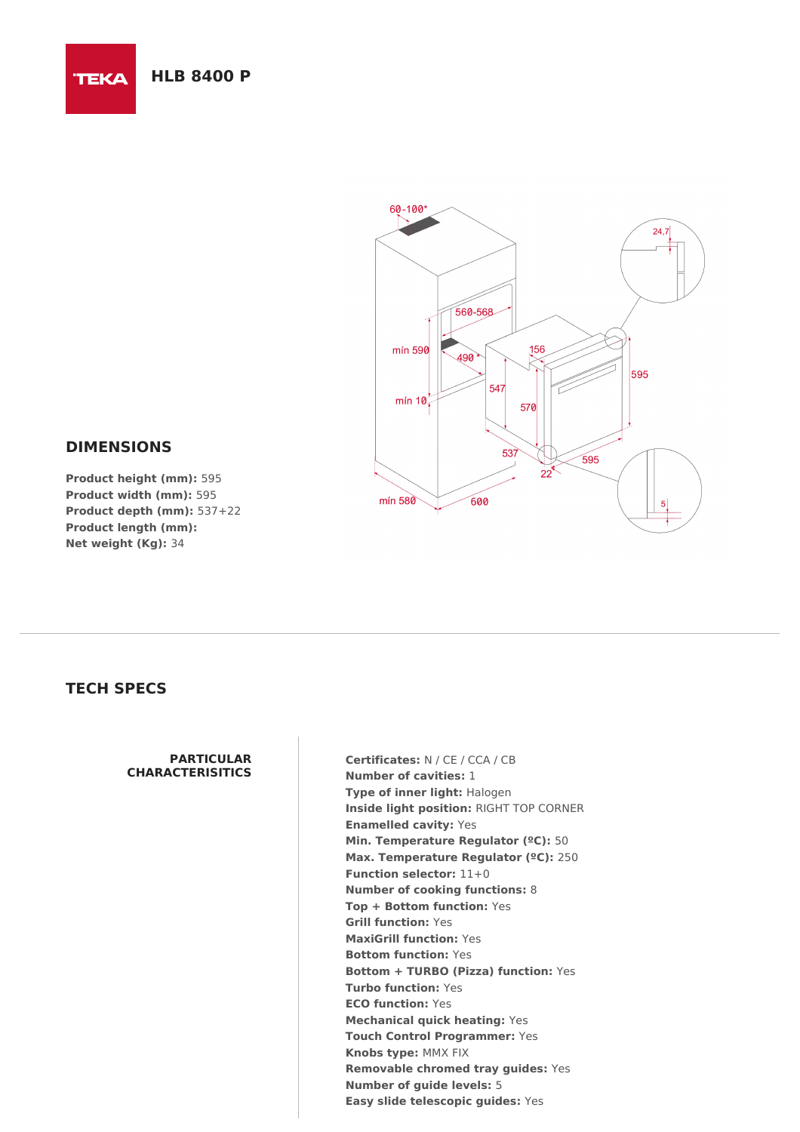

### **DIMENSIONS**

**TEKA** 

**Product height (mm):** 595 **Product width (mm):** 595 **Product depth (mm):** 537+22 **Product length (mm): Net weight (Kg):** 34

## **TECH SPECS**

#### **PARTICULAR CHARACTERISITICS**

**Certificates:** N / CE / CCA / CB **Number of cavities:** 1 **Type of inner light:** Halogen **Inside light position:** RIGHT TOP CORNER **Enamelled cavity:** Yes **Min. Temperature Regulator (ºC):** 50 **Max. Temperature Regulator (ºC):** 250 **Function selector:** 11+0 **Number of cooking functions:** 8 **Top + Bottom function:** Yes **Grill function:** Yes **MaxiGrill function:** Yes **Bottom function:** Yes **Bottom + TURBO (Pizza) function:** Yes **Turbo function:** Yes **ECO function:** Yes **Mechanical quick heating:** Yes **Touch Control Programmer:** Yes **Knobs type:** MMX FIX **Removable chromed tray guides:** Yes **Number of guide levels:** 5 **Easy slide telescopic guides:** Yes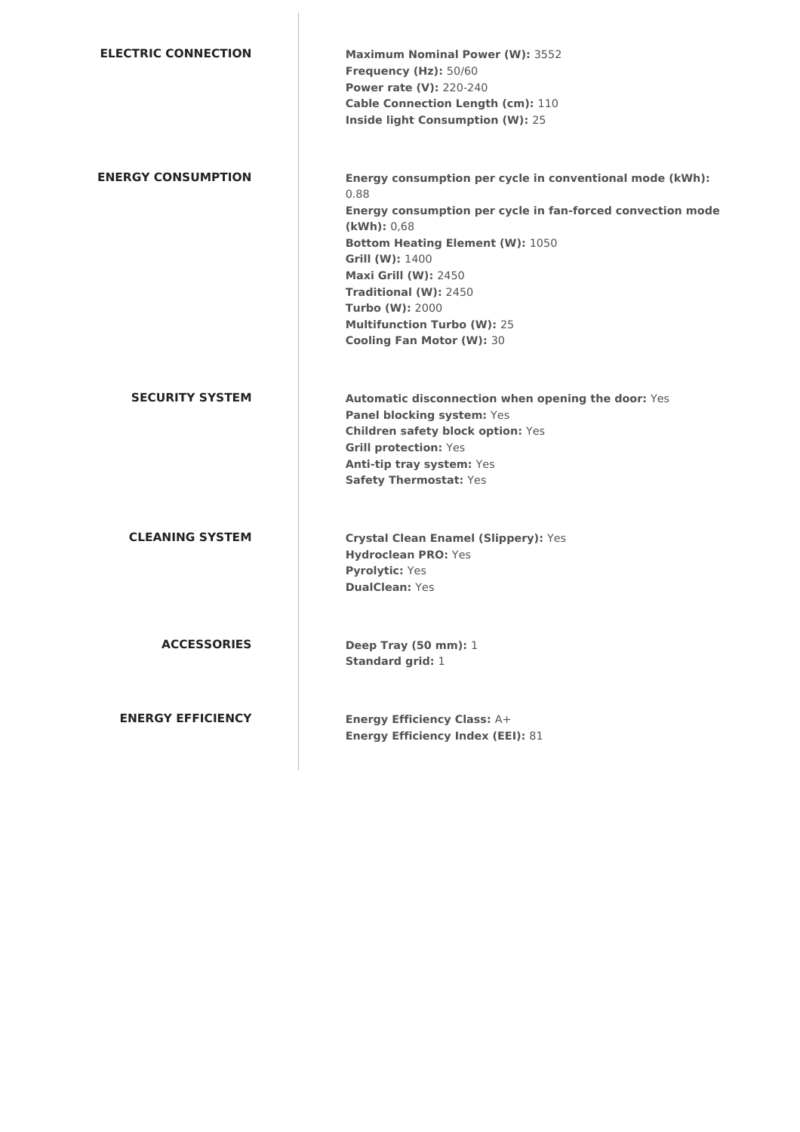| <b>ELECTRIC CONNECTION</b> | <b>Maximum Nominal Power (W): 3552</b><br>Frequency (Hz): 50/60<br><b>Power rate (V): 220-240</b><br>Cable Connection Length (cm): 110<br>Inside light Consumption (W): 25                                                                                                                                                                                              |
|----------------------------|-------------------------------------------------------------------------------------------------------------------------------------------------------------------------------------------------------------------------------------------------------------------------------------------------------------------------------------------------------------------------|
| <b>ENERGY CONSUMPTION</b>  | Energy consumption per cycle in conventional mode (kWh):<br>0.88<br>Energy consumption per cycle in fan-forced convection mode<br>(kWh): 0,68<br><b>Bottom Heating Element (W): 1050</b><br>Grill (W): 1400<br><b>Maxi Grill (W): 2450</b><br>Traditional (W): 2450<br><b>Turbo (W): 2000</b><br><b>Multifunction Turbo (W): 25</b><br><b>Cooling Fan Motor (W): 30</b> |
| <b>SECURITY SYSTEM</b>     | Automatic disconnection when opening the door: Yes<br>Panel blocking system: Yes<br><b>Children safety block option: Yes</b><br><b>Grill protection: Yes</b><br>Anti-tip tray system: Yes<br><b>Safety Thermostat: Yes</b>                                                                                                                                              |
| <b>CLEANING SYSTEM</b>     | Crystal Clean Enamel (Slippery): Yes<br><b>Hydroclean PRO: Yes</b><br><b>Pyrolytic: Yes</b><br><b>DualClean: Yes</b>                                                                                                                                                                                                                                                    |
| <b>ACCESSORIES</b>         | <b>Deep Tray (50 mm): 1</b><br><b>Standard grid: 1</b>                                                                                                                                                                                                                                                                                                                  |
| <b>ENERGY EFFICIENCY</b>   | <b>Energy Efficiency Class: A+</b><br><b>Energy Efficiency Index (EEI): 81</b>                                                                                                                                                                                                                                                                                          |